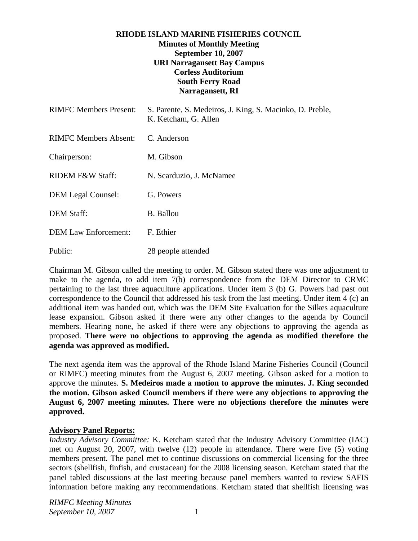# **RHODE ISLAND MARINE FISHERIES COUNCIL Minutes of Monthly Meeting September 10, 2007 URI Narragansett Bay Campus Corless Auditorium South Ferry Road Narragansett, RI**

| <b>RIMFC Members Present:</b> | S. Parente, S. Medeiros, J. King, S. Macinko, D. Preble,<br>K. Ketcham, G. Allen |
|-------------------------------|----------------------------------------------------------------------------------|
| RIMFC Members Absent:         | C. Anderson                                                                      |
| Chairperson:                  | M. Gibson                                                                        |
| <b>RIDEM F&amp;W Staff:</b>   | N. Scarduzio, J. McNamee                                                         |
| <b>DEM Legal Counsel:</b>     | G. Powers                                                                        |
| <b>DEM Staff:</b>             | <b>B.</b> Ballou                                                                 |
| <b>DEM Law Enforcement:</b>   | F. Ethier                                                                        |
| Public:                       | 28 people attended                                                               |

Chairman M. Gibson called the meeting to order. M. Gibson stated there was one adjustment to make to the agenda, to add item 7(b) correspondence from the DEM Director to CRMC pertaining to the last three aquaculture applications. Under item 3 (b) G. Powers had past out correspondence to the Council that addressed his task from the last meeting. Under item 4 (c) an additional item was handed out, which was the DEM Site Evaluation for the Silkes aquaculture lease expansion. Gibson asked if there were any other changes to the agenda by Council members. Hearing none, he asked if there were any objections to approving the agenda as proposed. **There were no objections to approving the agenda as modified therefore the agenda was approved as modified.** 

The next agenda item was the approval of the Rhode Island Marine Fisheries Council (Council or RIMFC) meeting minutes from the August 6, 2007 meeting. Gibson asked for a motion to approve the minutes. **S. Medeiros made a motion to approve the minutes. J. King seconded the motion. Gibson asked Council members if there were any objections to approving the August 6, 2007 meeting minutes. There were no objections therefore the minutes were approved.** 

# **Advisory Panel Reports:**

*Industry Advisory Committee:* K. Ketcham stated that the Industry Advisory Committee (IAC) met on August 20, 2007, with twelve (12) people in attendance. There were five (5) voting members present. The panel met to continue discussions on commercial licensing for the three sectors (shellfish, finfish, and crustacean) for the 2008 licensing season. Ketcham stated that the panel tabled discussions at the last meeting because panel members wanted to review SAFIS information before making any recommendations. Ketcham stated that shellfish licensing was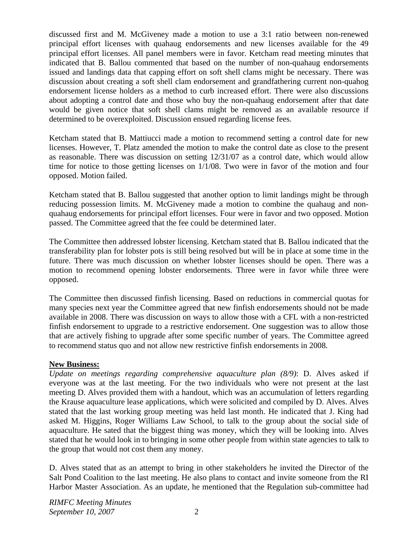discussed first and M. McGiveney made a motion to use a 3:1 ratio between non-renewed principal effort licenses with quahaug endorsements and new licenses available for the 49 principal effort licenses. All panel members were in favor. Ketcham read meeting minutes that indicated that B. Ballou commented that based on the number of non-quahaug endorsements issued and landings data that capping effort on soft shell clams might be necessary. There was discussion about creating a soft shell clam endorsement and grandfathering current non-quahog endorsement license holders as a method to curb increased effort. There were also discussions about adopting a control date and those who buy the non-quahaug endorsement after that date would be given notice that soft shell clams might be removed as an available resource if determined to be overexploited. Discussion ensued regarding license fees.

Ketcham stated that B. Mattiucci made a motion to recommend setting a control date for new licenses. However, T. Platz amended the motion to make the control date as close to the present as reasonable. There was discussion on setting 12/31/07 as a control date, which would allow time for notice to those getting licenses on 1/1/08. Two were in favor of the motion and four opposed. Motion failed.

Ketcham stated that B. Ballou suggested that another option to limit landings might be through reducing possession limits. M. McGiveney made a motion to combine the quahaug and nonquahaug endorsements for principal effort licenses. Four were in favor and two opposed. Motion passed. The Committee agreed that the fee could be determined later.

The Committee then addressed lobster licensing. Ketcham stated that B. Ballou indicated that the transferability plan for lobster pots is still being resolved but will be in place at some time in the future. There was much discussion on whether lobster licenses should be open. There was a motion to recommend opening lobster endorsements. Three were in favor while three were opposed.

The Committee then discussed finfish licensing. Based on reductions in commercial quotas for many species next year the Committee agreed that new finfish endorsements should not be made available in 2008. There was discussion on ways to allow those with a CFL with a non-restricted finfish endorsement to upgrade to a restrictive endorsement. One suggestion was to allow those that are actively fishing to upgrade after some specific number of years. The Committee agreed to recommend status quo and not allow new restrictive finfish endorsements in 2008.

# **New Business:**

*Update on meetings regarding comprehensive aquaculture plan (8/9)*: D. Alves asked if everyone was at the last meeting. For the two individuals who were not present at the last meeting D. Alves provided them with a handout, which was an accumulation of letters regarding the Krause aquaculture lease applications, which were solicited and compiled by D. Alves. Alves stated that the last working group meeting was held last month. He indicated that J. King had asked M. Higgins, Roger Williams Law School, to talk to the group about the social side of aquaculture. He sated that the biggest thing was money, which they will be looking into. Alves stated that he would look in to bringing in some other people from within state agencies to talk to the group that would not cost them any money.

D. Alves stated that as an attempt to bring in other stakeholders he invited the Director of the Salt Pond Coalition to the last meeting. He also plans to contact and invite someone from the RI Harbor Master Association. As an update, he mentioned that the Regulation sub-committee had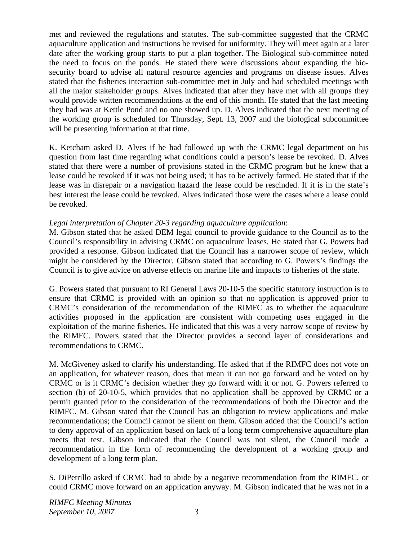met and reviewed the regulations and statutes. The sub-committee suggested that the CRMC aquaculture application and instructions be revised for uniformity. They will meet again at a later date after the working group starts to put a plan together. The Biological sub-committee noted the need to focus on the ponds. He stated there were discussions about expanding the biosecurity board to advise all natural resource agencies and programs on disease issues. Alves stated that the fisheries interaction sub-committee met in July and had scheduled meetings with all the major stakeholder groups. Alves indicated that after they have met with all groups they would provide written recommendations at the end of this month. He stated that the last meeting they had was at Kettle Pond and no one showed up. D. Alves indicated that the next meeting of the working group is scheduled for Thursday, Sept. 13, 2007 and the biological subcommittee will be presenting information at that time.

K. Ketcham asked D. Alves if he had followed up with the CRMC legal department on his question from last time regarding what conditions could a person's lease be revoked. D. Alves stated that there were a number of provisions stated in the CRMC program but he knew that a lease could be revoked if it was not being used; it has to be actively farmed. He stated that if the lease was in disrepair or a navigation hazard the lease could be rescinded. If it is in the state's best interest the lease could be revoked. Alves indicated those were the cases where a lease could be revoked.

# *Legal interpretation of Chapter 20-3 regarding aquaculture application*:

M. Gibson stated that he asked DEM legal council to provide guidance to the Council as to the Council's responsibility in advising CRMC on aquaculture leases. He stated that G. Powers had provided a response. Gibson indicated that the Council has a narrower scope of review, which might be considered by the Director. Gibson stated that according to G. Powers's findings the Council is to give advice on adverse effects on marine life and impacts to fisheries of the state.

G. Powers stated that pursuant to RI General Laws 20-10-5 the specific statutory instruction is to ensure that CRMC is provided with an opinion so that no application is approved prior to CRMC's consideration of the recommendation of the RIMFC as to whether the aquaculture activities proposed in the application are consistent with competing uses engaged in the exploitation of the marine fisheries. He indicated that this was a very narrow scope of review by the RIMFC. Powers stated that the Director provides a second layer of considerations and recommendations to CRMC.

M. McGiveney asked to clarify his understanding. He asked that if the RIMFC does not vote on an application, for whatever reason, does that mean it can not go forward and be voted on by CRMC or is it CRMC's decision whether they go forward with it or not. G. Powers referred to section (b) of 20-10-5, which provides that no application shall be approved by CRMC or a permit granted prior to the consideration of the recommendations of both the Director and the RIMFC. M. Gibson stated that the Council has an obligation to review applications and make recommendations; the Council cannot be silent on them. Gibson added that the Council's action to deny approval of an application based on lack of a long term comprehensive aquaculture plan meets that test. Gibson indicated that the Council was not silent, the Council made a recommendation in the form of recommending the development of a working group and development of a long term plan.

S. DiPetrillo asked if CRMC had to abide by a negative recommendation from the RIMFC, or could CRMC move forward on an application anyway. M. Gibson indicated that he was not in a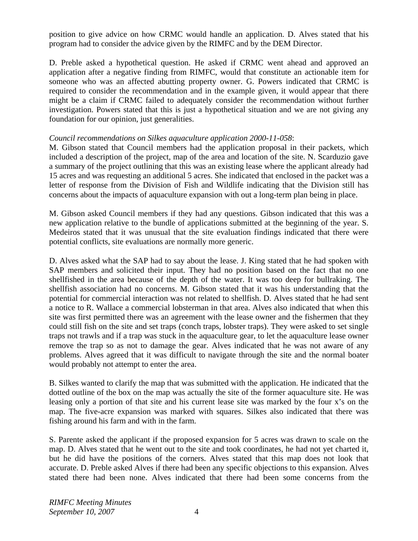position to give advice on how CRMC would handle an application. D. Alves stated that his program had to consider the advice given by the RIMFC and by the DEM Director.

D. Preble asked a hypothetical question. He asked if CRMC went ahead and approved an application after a negative finding from RIMFC, would that constitute an actionable item for someone who was an affected abutting property owner. G. Powers indicated that CRMC is required to consider the recommendation and in the example given, it would appear that there might be a claim if CRMC failed to adequately consider the recommendation without further investigation. Powers stated that this is just a hypothetical situation and we are not giving any foundation for our opinion, just generalities.

#### *Council recommendations on Silkes aquaculture application 2000-11-058*:

M. Gibson stated that Council members had the application proposal in their packets, which included a description of the project, map of the area and location of the site. N. Scarduzio gave a summary of the project outlining that this was an existing lease where the applicant already had 15 acres and was requesting an additional 5 acres. She indicated that enclosed in the packet was a letter of response from the Division of Fish and Wildlife indicating that the Division still has concerns about the impacts of aquaculture expansion with out a long-term plan being in place.

M. Gibson asked Council members if they had any questions. Gibson indicated that this was a new application relative to the bundle of applications submitted at the beginning of the year. S. Medeiros stated that it was unusual that the site evaluation findings indicated that there were potential conflicts, site evaluations are normally more generic.

D. Alves asked what the SAP had to say about the lease. J. King stated that he had spoken with SAP members and solicited their input. They had no position based on the fact that no one shellfished in the area because of the depth of the water. It was too deep for bullraking. The shellfish association had no concerns. M. Gibson stated that it was his understanding that the potential for commercial interaction was not related to shellfish. D. Alves stated that he had sent a notice to R. Wallace a commercial lobsterman in that area. Alves also indicated that when this site was first permitted there was an agreement with the lease owner and the fishermen that they could still fish on the site and set traps (conch traps, lobster traps). They were asked to set single traps not trawls and if a trap was stuck in the aquaculture gear, to let the aquaculture lease owner remove the trap so as not to damage the gear. Alves indicated that he was not aware of any problems. Alves agreed that it was difficult to navigate through the site and the normal boater would probably not attempt to enter the area.

B. Silkes wanted to clarify the map that was submitted with the application. He indicated that the dotted outline of the box on the map was actually the site of the former aquaculture site. He was leasing only a portion of that site and his current lease site was marked by the four x's on the map. The five-acre expansion was marked with squares. Silkes also indicated that there was fishing around his farm and with in the farm.

S. Parente asked the applicant if the proposed expansion for 5 acres was drawn to scale on the map. D. Alves stated that he went out to the site and took coordinates, he had not yet charted it, but he did have the positions of the corners. Alves stated that this map does not look that accurate. D. Preble asked Alves if there had been any specific objections to this expansion. Alves stated there had been none. Alves indicated that there had been some concerns from the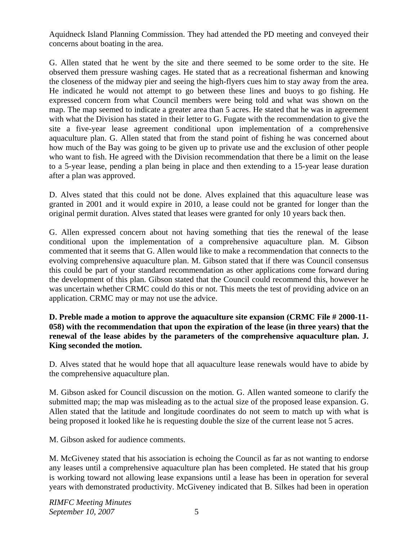Aquidneck Island Planning Commission. They had attended the PD meeting and conveyed their concerns about boating in the area.

G. Allen stated that he went by the site and there seemed to be some order to the site. He observed them pressure washing cages. He stated that as a recreational fisherman and knowing the closeness of the midway pier and seeing the high-flyers cues him to stay away from the area. He indicated he would not attempt to go between these lines and buoys to go fishing. He expressed concern from what Council members were being told and what was shown on the map. The map seemed to indicate a greater area than 5 acres. He stated that he was in agreement with what the Division has stated in their letter to G. Fugate with the recommendation to give the site a five-year lease agreement conditional upon implementation of a comprehensive aquaculture plan. G. Allen stated that from the stand point of fishing he was concerned about how much of the Bay was going to be given up to private use and the exclusion of other people who want to fish. He agreed with the Division recommendation that there be a limit on the lease to a 5-year lease, pending a plan being in place and then extending to a 15-year lease duration after a plan was approved.

D. Alves stated that this could not be done. Alves explained that this aquaculture lease was granted in 2001 and it would expire in 2010, a lease could not be granted for longer than the original permit duration. Alves stated that leases were granted for only 10 years back then.

G. Allen expressed concern about not having something that ties the renewal of the lease conditional upon the implementation of a comprehensive aquaculture plan. M. Gibson commented that it seems that G. Allen would like to make a recommendation that connects to the evolving comprehensive aquaculture plan. M. Gibson stated that if there was Council consensus this could be part of your standard recommendation as other applications come forward during the development of this plan. Gibson stated that the Council could recommend this, however he was uncertain whether CRMC could do this or not. This meets the test of providing advice on an application. CRMC may or may not use the advice.

# **D. Preble made a motion to approve the aquaculture site expansion (CRMC File # 2000-11- 058) with the recommendation that upon the expiration of the lease (in three years) that the renewal of the lease abides by the parameters of the comprehensive aquaculture plan. J. King seconded the motion.**

D. Alves stated that he would hope that all aquaculture lease renewals would have to abide by the comprehensive aquaculture plan.

M. Gibson asked for Council discussion on the motion. G. Allen wanted someone to clarify the submitted map; the map was misleading as to the actual size of the proposed lease expansion. G. Allen stated that the latitude and longitude coordinates do not seem to match up with what is being proposed it looked like he is requesting double the size of the current lease not 5 acres.

M. Gibson asked for audience comments.

M. McGiveney stated that his association is echoing the Council as far as not wanting to endorse any leases until a comprehensive aquaculture plan has been completed. He stated that his group is working toward not allowing lease expansions until a lease has been in operation for several years with demonstrated productivity. McGiveney indicated that B. Silkes had been in operation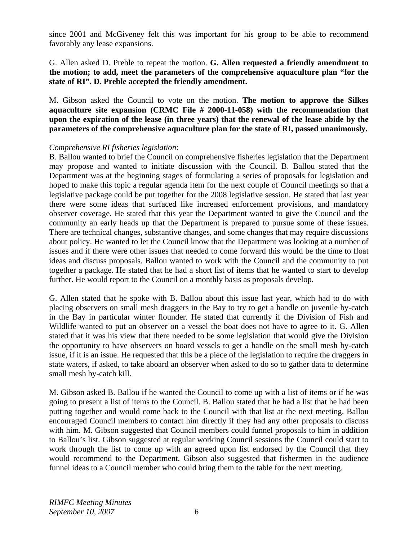since 2001 and McGiveney felt this was important for his group to be able to recommend favorably any lease expansions.

#### G. Allen asked D. Preble to repeat the motion. **G. Allen requested a friendly amendment to the motion; to add, meet the parameters of the comprehensive aquaculture plan "for the state of RI". D. Preble accepted the friendly amendment.**

M. Gibson asked the Council to vote on the motion. **The motion to approve the Silkes aquaculture site expansion (CRMC File # 2000-11-058) with the recommendation that upon the expiration of the lease (in three years) that the renewal of the lease abide by the parameters of the comprehensive aquaculture plan for the state of RI, passed unanimously.** 

#### *Comprehensive RI fisheries legislation*:

B. Ballou wanted to brief the Council on comprehensive fisheries legislation that the Department may propose and wanted to initiate discussion with the Council. B. Ballou stated that the Department was at the beginning stages of formulating a series of proposals for legislation and hoped to make this topic a regular agenda item for the next couple of Council meetings so that a legislative package could be put together for the 2008 legislative session. He stated that last year there were some ideas that surfaced like increased enforcement provisions, and mandatory observer coverage. He stated that this year the Department wanted to give the Council and the community an early heads up that the Department is prepared to pursue some of these issues. There are technical changes, substantive changes, and some changes that may require discussions about policy. He wanted to let the Council know that the Department was looking at a number of issues and if there were other issues that needed to come forward this would be the time to float ideas and discuss proposals. Ballou wanted to work with the Council and the community to put together a package. He stated that he had a short list of items that he wanted to start to develop further. He would report to the Council on a monthly basis as proposals develop.

G. Allen stated that he spoke with B. Ballou about this issue last year, which had to do with placing observers on small mesh draggers in the Bay to try to get a handle on juvenile by-catch in the Bay in particular winter flounder. He stated that currently if the Division of Fish and Wildlife wanted to put an observer on a vessel the boat does not have to agree to it. G. Allen stated that it was his view that there needed to be some legislation that would give the Division the opportunity to have observers on board vessels to get a handle on the small mesh by-catch issue, if it is an issue. He requested that this be a piece of the legislation to require the draggers in state waters, if asked, to take aboard an observer when asked to do so to gather data to determine small mesh by-catch kill.

M. Gibson asked B. Ballou if he wanted the Council to come up with a list of items or if he was going to present a list of items to the Council. B. Ballou stated that he had a list that he had been putting together and would come back to the Council with that list at the next meeting. Ballou encouraged Council members to contact him directly if they had any other proposals to discuss with him. M. Gibson suggested that Council members could funnel proposals to him in addition to Ballou's list. Gibson suggested at regular working Council sessions the Council could start to work through the list to come up with an agreed upon list endorsed by the Council that they would recommend to the Department. Gibson also suggested that fishermen in the audience funnel ideas to a Council member who could bring them to the table for the next meeting.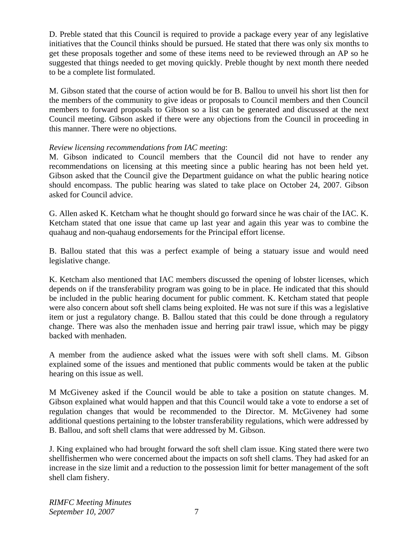D. Preble stated that this Council is required to provide a package every year of any legislative initiatives that the Council thinks should be pursued. He stated that there was only six months to get these proposals together and some of these items need to be reviewed through an AP so he suggested that things needed to get moving quickly. Preble thought by next month there needed to be a complete list formulated.

M. Gibson stated that the course of action would be for B. Ballou to unveil his short list then for the members of the community to give ideas or proposals to Council members and then Council members to forward proposals to Gibson so a list can be generated and discussed at the next Council meeting. Gibson asked if there were any objections from the Council in proceeding in this manner. There were no objections.

# *Review licensing recommendations from IAC meeting*:

M. Gibson indicated to Council members that the Council did not have to render any recommendations on licensing at this meeting since a public hearing has not been held yet. Gibson asked that the Council give the Department guidance on what the public hearing notice should encompass. The public hearing was slated to take place on October 24, 2007. Gibson asked for Council advice.

G. Allen asked K. Ketcham what he thought should go forward since he was chair of the IAC. K. Ketcham stated that one issue that came up last year and again this year was to combine the quahaug and non-quahaug endorsements for the Principal effort license.

B. Ballou stated that this was a perfect example of being a statuary issue and would need legislative change.

K. Ketcham also mentioned that IAC members discussed the opening of lobster licenses, which depends on if the transferability program was going to be in place. He indicated that this should be included in the public hearing document for public comment. K. Ketcham stated that people were also concern about soft shell clams being exploited. He was not sure if this was a legislative item or just a regulatory change. B. Ballou stated that this could be done through a regulatory change. There was also the menhaden issue and herring pair trawl issue, which may be piggy backed with menhaden.

A member from the audience asked what the issues were with soft shell clams. M. Gibson explained some of the issues and mentioned that public comments would be taken at the public hearing on this issue as well.

M McGiveney asked if the Council would be able to take a position on statute changes. M. Gibson explained what would happen and that this Council would take a vote to endorse a set of regulation changes that would be recommended to the Director. M. McGiveney had some additional questions pertaining to the lobster transferability regulations, which were addressed by B. Ballou, and soft shell clams that were addressed by M. Gibson.

J. King explained who had brought forward the soft shell clam issue. King stated there were two shellfishermen who were concerned about the impacts on soft shell clams. They had asked for an increase in the size limit and a reduction to the possession limit for better management of the soft shell clam fishery.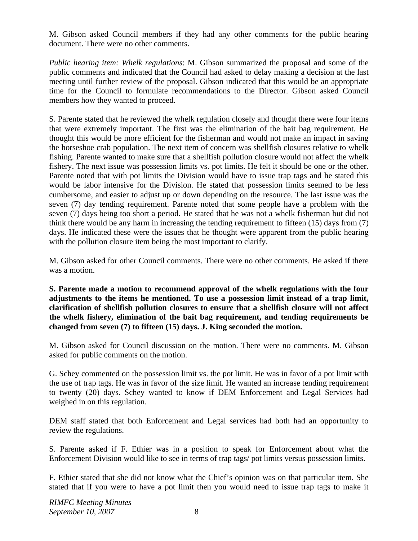M. Gibson asked Council members if they had any other comments for the public hearing document. There were no other comments.

*Public hearing item: Whelk regulations*: M. Gibson summarized the proposal and some of the public comments and indicated that the Council had asked to delay making a decision at the last meeting until further review of the proposal. Gibson indicated that this would be an appropriate time for the Council to formulate recommendations to the Director. Gibson asked Council members how they wanted to proceed.

S. Parente stated that he reviewed the whelk regulation closely and thought there were four items that were extremely important. The first was the elimination of the bait bag requirement. He thought this would be more efficient for the fisherman and would not make an impact in saving the horseshoe crab population. The next item of concern was shellfish closures relative to whelk fishing. Parente wanted to make sure that a shellfish pollution closure would not affect the whelk fishery. The next issue was possession limits vs. pot limits. He felt it should be one or the other. Parente noted that with pot limits the Division would have to issue trap tags and he stated this would be labor intensive for the Division. He stated that possession limits seemed to be less cumbersome, and easier to adjust up or down depending on the resource. The last issue was the seven (7) day tending requirement. Parente noted that some people have a problem with the seven (7) days being too short a period. He stated that he was not a whelk fisherman but did not think there would be any harm in increasing the tending requirement to fifteen (15) days from (7) days. He indicated these were the issues that he thought were apparent from the public hearing with the pollution closure item being the most important to clarify.

M. Gibson asked for other Council comments. There were no other comments. He asked if there was a motion.

**S. Parente made a motion to recommend approval of the whelk regulations with the four adjustments to the items he mentioned. To use a possession limit instead of a trap limit, clarification of shellfish pollution closures to ensure that a shellfish closure will not affect the whelk fishery, elimination of the bait bag requirement, and tending requirements be changed from seven (7) to fifteen (15) days. J. King seconded the motion.** 

M. Gibson asked for Council discussion on the motion. There were no comments. M. Gibson asked for public comments on the motion.

G. Schey commented on the possession limit vs. the pot limit. He was in favor of a pot limit with the use of trap tags. He was in favor of the size limit. He wanted an increase tending requirement to twenty (20) days. Schey wanted to know if DEM Enforcement and Legal Services had weighed in on this regulation.

DEM staff stated that both Enforcement and Legal services had both had an opportunity to review the regulations.

S. Parente asked if F. Ethier was in a position to speak for Enforcement about what the Enforcement Division would like to see in terms of trap tags/ pot limits versus possession limits.

F. Ethier stated that she did not know what the Chief's opinion was on that particular item. She stated that if you were to have a pot limit then you would need to issue trap tags to make it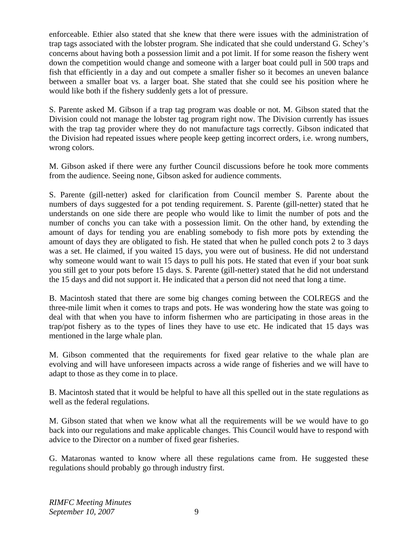enforceable. Ethier also stated that she knew that there were issues with the administration of trap tags associated with the lobster program. She indicated that she could understand G. Schey's concerns about having both a possession limit and a pot limit. If for some reason the fishery went down the competition would change and someone with a larger boat could pull in 500 traps and fish that efficiently in a day and out compete a smaller fisher so it becomes an uneven balance between a smaller boat vs. a larger boat. She stated that she could see his position where he would like both if the fishery suddenly gets a lot of pressure.

S. Parente asked M. Gibson if a trap tag program was doable or not. M. Gibson stated that the Division could not manage the lobster tag program right now. The Division currently has issues with the trap tag provider where they do not manufacture tags correctly. Gibson indicated that the Division had repeated issues where people keep getting incorrect orders, i.e. wrong numbers, wrong colors.

M. Gibson asked if there were any further Council discussions before he took more comments from the audience. Seeing none, Gibson asked for audience comments.

S. Parente (gill-netter) asked for clarification from Council member S. Parente about the numbers of days suggested for a pot tending requirement. S. Parente (gill-netter) stated that he understands on one side there are people who would like to limit the number of pots and the number of conchs you can take with a possession limit. On the other hand, by extending the amount of days for tending you are enabling somebody to fish more pots by extending the amount of days they are obligated to fish. He stated that when he pulled conch pots 2 to 3 days was a set. He claimed, if you waited 15 days, you were out of business. He did not understand why someone would want to wait 15 days to pull his pots. He stated that even if your boat sunk you still get to your pots before 15 days. S. Parente (gill-netter) stated that he did not understand the 15 days and did not support it. He indicated that a person did not need that long a time.

B. Macintosh stated that there are some big changes coming between the COLREGS and the three-mile limit when it comes to traps and pots. He was wondering how the state was going to deal with that when you have to inform fishermen who are participating in those areas in the trap/pot fishery as to the types of lines they have to use etc. He indicated that 15 days was mentioned in the large whale plan.

M. Gibson commented that the requirements for fixed gear relative to the whale plan are evolving and will have unforeseen impacts across a wide range of fisheries and we will have to adapt to those as they come in to place.

B. Macintosh stated that it would be helpful to have all this spelled out in the state regulations as well as the federal regulations.

M. Gibson stated that when we know what all the requirements will be we would have to go back into our regulations and make applicable changes. This Council would have to respond with advice to the Director on a number of fixed gear fisheries.

G. Mataronas wanted to know where all these regulations came from. He suggested these regulations should probably go through industry first.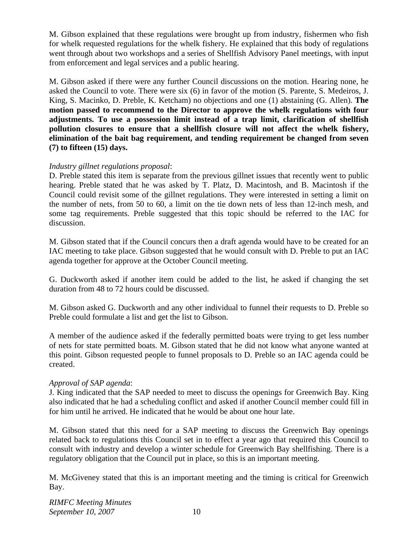M. Gibson explained that these regulations were brought up from industry, fishermen who fish for whelk requested regulations for the whelk fishery. He explained that this body of regulations went through about two workshops and a series of Shellfish Advisory Panel meetings, with input from enforcement and legal services and a public hearing.

M. Gibson asked if there were any further Council discussions on the motion. Hearing none, he asked the Council to vote. There were six (6) in favor of the motion (S. Parente, S. Medeiros, J. King, S. Macinko, D. Preble, K. Ketcham) no objections and one (1) abstaining (G. Allen). **The motion passed to recommend to the Director to approve the whelk regulations with four adjustments. To use a possession limit instead of a trap limit, clarification of shellfish pollution closures to ensure that a shellfish closure will not affect the whelk fishery, elimination of the bait bag requirement, and tending requirement be changed from seven (7) to fifteen (15) days.**

# *Industry gillnet regulations proposal*:

D. Preble stated this item is separate from the previous gillnet issues that recently went to public hearing. Preble stated that he was asked by T. Platz, D. Macintosh, and B. Macintosh if the Council could revisit some of the gillnet regulations. They were interested in setting a limit on the number of nets, from 50 to 60, a limit on the tie down nets of less than 12-inch mesh, and some tag requirements. Preble suggested that this topic should be referred to the IAC for discussion.

M. Gibson stated that if the Council concurs then a draft agenda would have to be created for an IAC meeting to take place. Gibson suggested that he would consult with D. Preble to put an IAC agenda together for approve at the October Council meeting.

G. Duckworth asked if another item could be added to the list, he asked if changing the set duration from 48 to 72 hours could be discussed.

M. Gibson asked G. Duckworth and any other individual to funnel their requests to D. Preble so Preble could formulate a list and get the list to Gibson.

A member of the audience asked if the federally permitted boats were trying to get less number of nets for state permitted boats. M. Gibson stated that he did not know what anyone wanted at this point. Gibson requested people to funnel proposals to D. Preble so an IAC agenda could be created.

# *Approval of SAP agenda*:

J. King indicated that the SAP needed to meet to discuss the openings for Greenwich Bay. King also indicated that he had a scheduling conflict and asked if another Council member could fill in for him until he arrived. He indicated that he would be about one hour late.

M. Gibson stated that this need for a SAP meeting to discuss the Greenwich Bay openings related back to regulations this Council set in to effect a year ago that required this Council to consult with industry and develop a winter schedule for Greenwich Bay shellfishing. There is a regulatory obligation that the Council put in place, so this is an important meeting.

M. McGiveney stated that this is an important meeting and the timing is critical for Greenwich Bay.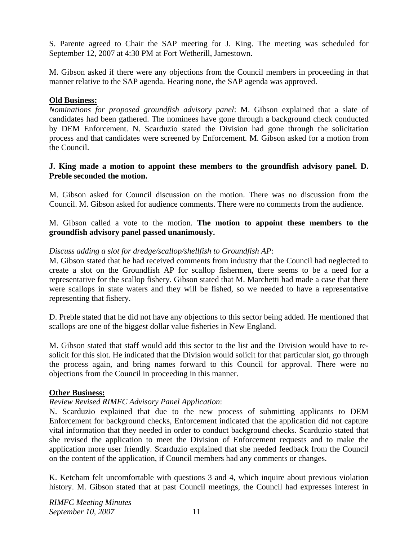S. Parente agreed to Chair the SAP meeting for J. King. The meeting was scheduled for September 12, 2007 at 4:30 PM at Fort Wetherill, Jamestown.

M. Gibson asked if there were any objections from the Council members in proceeding in that manner relative to the SAP agenda. Hearing none, the SAP agenda was approved.

#### **Old Business:**

*Nominations for proposed groundfish advisory panel*: M. Gibson explained that a slate of candidates had been gathered. The nominees have gone through a background check conducted by DEM Enforcement. N. Scarduzio stated the Division had gone through the solicitation process and that candidates were screened by Enforcement. M. Gibson asked for a motion from the Council.

#### **J. King made a motion to appoint these members to the groundfish advisory panel. D. Preble seconded the motion.**

M. Gibson asked for Council discussion on the motion. There was no discussion from the Council. M. Gibson asked for audience comments. There were no comments from the audience.

M. Gibson called a vote to the motion. **The motion to appoint these members to the groundfish advisory panel passed unanimously.**

#### *Discuss adding a slot for dredge/scallop/shellfish to Groundfish AP*:

M. Gibson stated that he had received comments from industry that the Council had neglected to create a slot on the Groundfish AP for scallop fishermen, there seems to be a need for a representative for the scallop fishery. Gibson stated that M. Marchetti had made a case that there were scallops in state waters and they will be fished, so we needed to have a representative representing that fishery.

D. Preble stated that he did not have any objections to this sector being added. He mentioned that scallops are one of the biggest dollar value fisheries in New England.

M. Gibson stated that staff would add this sector to the list and the Division would have to resolicit for this slot. He indicated that the Division would solicit for that particular slot, go through the process again, and bring names forward to this Council for approval. There were no objections from the Council in proceeding in this manner.

#### **Other Business:**

# *Review Revised RIMFC Advisory Panel Application*:

N. Scarduzio explained that due to the new process of submitting applicants to DEM Enforcement for background checks, Enforcement indicated that the application did not capture vital information that they needed in order to conduct background checks. Scarduzio stated that she revised the application to meet the Division of Enforcement requests and to make the application more user friendly. Scarduzio explained that she needed feedback from the Council on the content of the application, if Council members had any comments or changes.

K. Ketcham felt uncomfortable with questions 3 and 4, which inquire about previous violation history. M. Gibson stated that at past Council meetings, the Council had expresses interest in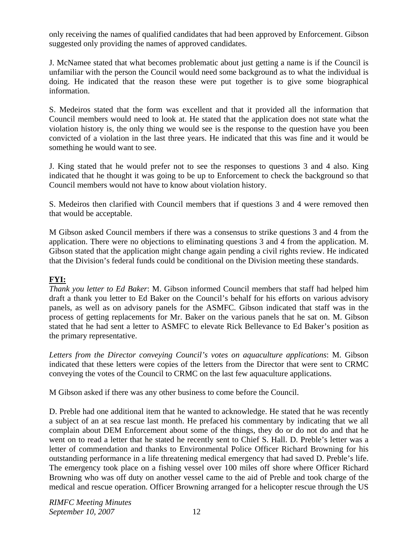only receiving the names of qualified candidates that had been approved by Enforcement. Gibson suggested only providing the names of approved candidates.

J. McNamee stated that what becomes problematic about just getting a name is if the Council is unfamiliar with the person the Council would need some background as to what the individual is doing. He indicated that the reason these were put together is to give some biographical information.

S. Medeiros stated that the form was excellent and that it provided all the information that Council members would need to look at. He stated that the application does not state what the violation history is, the only thing we would see is the response to the question have you been convicted of a violation in the last three years. He indicated that this was fine and it would be something he would want to see.

J. King stated that he would prefer not to see the responses to questions 3 and 4 also. King indicated that he thought it was going to be up to Enforcement to check the background so that Council members would not have to know about violation history.

S. Medeiros then clarified with Council members that if questions 3 and 4 were removed then that would be acceptable.

M Gibson asked Council members if there was a consensus to strike questions 3 and 4 from the application. There were no objections to eliminating questions 3 and 4 from the application. M. Gibson stated that the application might change again pending a civil rights review. He indicated that the Division's federal funds could be conditional on the Division meeting these standards.

# **FYI:**

*Thank you letter to Ed Baker*: M. Gibson informed Council members that staff had helped him draft a thank you letter to Ed Baker on the Council's behalf for his efforts on various advisory panels, as well as on advisory panels for the ASMFC. Gibson indicated that staff was in the process of getting replacements for Mr. Baker on the various panels that he sat on. M. Gibson stated that he had sent a letter to ASMFC to elevate Rick Bellevance to Ed Baker's position as the primary representative.

*Letters from the Director conveying Council's votes on aquaculture applications*: M. Gibson indicated that these letters were copies of the letters from the Director that were sent to CRMC conveying the votes of the Council to CRMC on the last few aquaculture applications.

M Gibson asked if there was any other business to come before the Council.

D. Preble had one additional item that he wanted to acknowledge. He stated that he was recently a subject of an at sea rescue last month. He prefaced his commentary by indicating that we all complain about DEM Enforcement about some of the things, they do or do not do and that he went on to read a letter that he stated he recently sent to Chief S. Hall. D. Preble's letter was a letter of commendation and thanks to Environmental Police Officer Richard Browning for his outstanding performance in a life threatening medical emergency that had saved D. Preble's life. The emergency took place on a fishing vessel over 100 miles off shore where Officer Richard Browning who was off duty on another vessel came to the aid of Preble and took charge of the medical and rescue operation. Officer Browning arranged for a helicopter rescue through the US